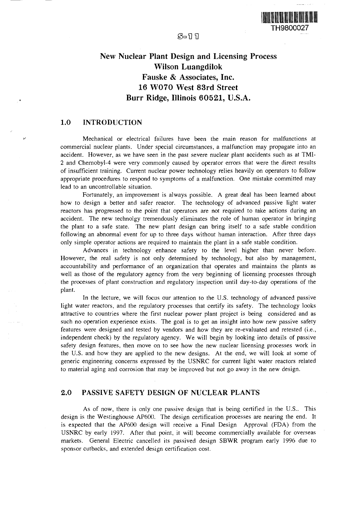

# New Nuclear Plant Design and Licensing Process Wilson Luangdilok Fauske & Associates, Inc. 16 WO70 West 83rd Street Burr Ridge, Illinois 60521, U.S.A.

# 1.0 INTRODUCTION

Mechanical or electrical failures have been the main reason for malfunctions at commercial nuclear plants. Under special circumstances, a malfunction may propagate into an accident. However, as we have seen in the past severe nuclear plant accidents such as at TMI-2 and Chernobyl-4 were very commonly caused by operator errors that were the direct results of insufficient training. Current nuclear power technology relies heavily on operators to follow appropriate procedures to respond to symptoms of a malfunction. One mistake committed may lead to an uncontrollable situation.

Fortunately, an improvement is always possible. A great deal has been learned about how to design a better and safer reactor. The technology of advanced passive light water reactors has progressed to the point that operators are not required to take actions during an accident. The new technolgy tremendously eliminates the role of human operator in bringing the plant to a safe state. The new plant design can bring itself to a safe stable condition following an abnormal event for up to three days without human interaction. After three days only simple operator actions are required to maintain the plant in a safe stable condition.

Advances in technology enhance safety to the level higher than never before. However, the real safety is not only determined by technology, but also by management, accountability and performance of an organization that operates and maintains the plants as well as those of the regulatory agency from the very beginning of licensing processes through the processes of plant construction and regulatory inspection until day-to-day operations of the plant.

In the lecture, we will focus our attention to the U.S. technology of advanced passive light water reactors, and the regulatory processes that certify its safety. The technology looks attractive to countries where the first nuclear power plant project is being considered and as such no operation experience exists. The goal is to get an insight into how new passive safety features were designed and tested by vendors and how they are re-evaluated and retested (i.e., independent check) by the regulatory agency. We will begin by looking into details of passive safety design features, then move on to see how the new nuclear licensing processes work in the U.S. and how they are applied to the new designs. At the end, we will look at some of generic engineering concerns expressed by the USNRC for current light water reactors related to material aging and corrosion that may be improved but not go away in the new design.

# 2.0 PASSIVE SAFETY DESIGN OF NUCLEAR PLANTS

As of now, there is only one passive design that is being certified in the U.S.. This design is the Westinghouse AP600. The design certification processes are nearing the end. It is expected that the AP600 design will receive a Final Design Approval (FDA) from the USNRC by early 1997. After that point, it will become commercially available for overseas markets. General Electric cancelled its passived design SBWR program early 1996 due to sponsor cutbacks, and extended design certification cost.

# $S-11$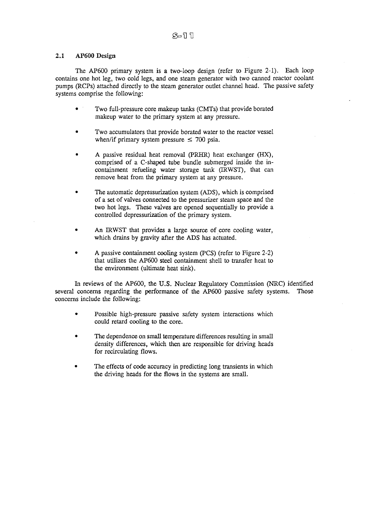# 2.1 AP600 Design

The AP600 primary system is a two-loop design (refer to Figure 2-1). Each loop contains one hot leg, two cold legs, and one steam generator with two canned reactor coolant pumps (RCPs) attached directly to the steam generator outlet channel head. The passive safety systems comprise the following:

- Two full-pressure core makeup tanks (CMTs) that provide borated makeup water to the primary system at any pressure.
- Two accumulators that provide borated water to the reactor vessel when/if primary system pressure  $\leq$  700 psia.
- A passive residual heat removal (PRHR) heat exchanger (HX), comprised of a C-shaped tube bundle submerged inside the incontainment refueling water storage tank (IRWST), that can remove heat from the primary system at any pressure.
- The automatic depressurization system (ADS), which is comprised of a set of valves connected to the pressurizer steam space and the two hot legs. These valves are opened sequentially to provide a controlled depressurization of the primary system.
- An IRWST that provides a large source of core cooling water, which drains by gravity after the ADS has actuated.
- A passive containment cooling system (PCS) (refer to Figure 2-2) that utilizes the AP600 steel containment shell to transfer heat to the environment (ultimate heat sink).

In reviews of the AP600, the U.S. Nuclear Regulatory Commission (NRC) identified several concerns regarding the performance of the AP600 passive safety systems. Those concerns include the following:

- Possible high-pressure passive safety system interactions which could retard cooling to the core.
- The dependence on small temperature differences resulting in small density differences, which then are responsible for driving heads for recirculating flows.
- The effects of code accuracy in predicting long transients in which the driving heads for the flows in the systems are small.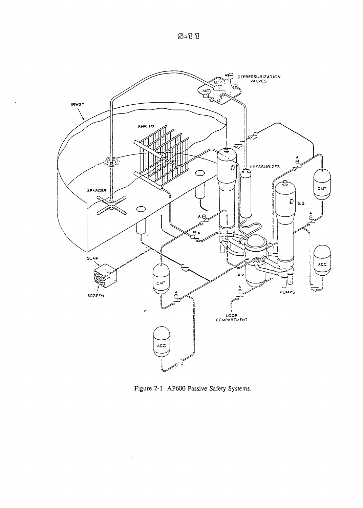$\bar{\gamma}$ 



Figure 2-1 AP600 Passive Safety Systems.

 $\mathcal{L}^{\mathcal{A}}$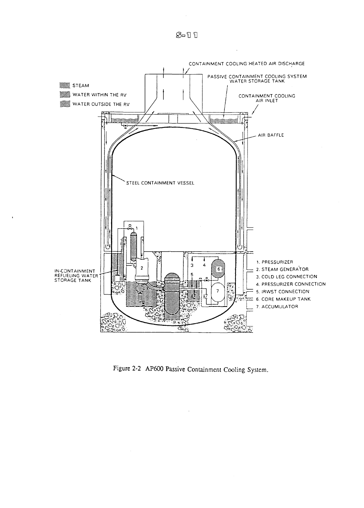$S-11$ 



Figure 2-2 AP600 Passive Containment Cooling System.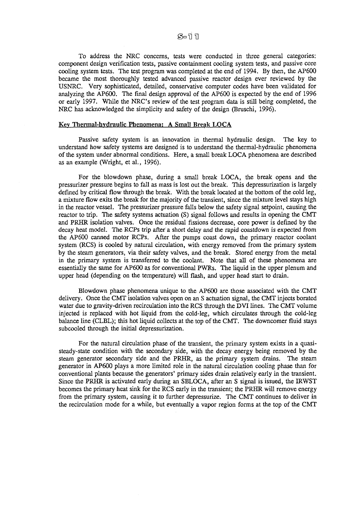## 8−11

To address the NRC concerns, tests were conducted in three general categories: component design verification tests, passive containment cooling system tests, and passive core cooling system tests. The test program was completed at the end of 1994. By then, the AP600 became the most thoroughly tested advanced passive reactor design ever reviewed by the USNRC. Very sophisticated, detailed, conservative computer codes have been validated for analyzing the AP600. The final design approval of the AP600 is expected by the end of 1996 or early 1997. While the NRC's review of the test program data is still being completed, the NRC has acknowledged the simplicity and safety of the design (Bruschi, 1996).

### Key Thermal-hydraulic Phenomena: A Small Break LOCA

Passive safety system is an innovation in thermal hydraulic design. The key to understand how safety systems are designed is to understand the thermal-hydraulic phenomena of the system under abnormal conditions. Here, a small break LOCA phenomena are described as an example (Wright, et al., 1996).

For the blowdown phase, during a small break LOCA, the break opens and the pressurizer pressure begins to fall as mass is lost out the break. This depressurization is largely defined by critical flow through the break. With the break located at the bottom of the cold leg, a mixture flow exits the break for the majority of the transient, since the mixture level stays high in the reactor vessel. The pressurizer pressure falls below the safety signal setpoint, causing the reactor to trip. The safety systems actuation (S) signal follows and results in opening the CMT and PRHR isolation valves. Once the residual fissions decrease, core power is defined by the decay heat model. The RCPs trip after a short delay and the rapid coastdown is expected from the AP600 canned motor RCPs. After the pumps coast down, the primary reactor coolant system (RCS) is cooled by natural circulation, with energy removed from the primary system by the steam generators, via their safety valves, and the break. Stored energy from the metal in the primary system is transferred to the coolant. Note that all of these phenomena are essentially the same for AP600 as for conventional PWRs. The liquid in the upper plenum and upper head (depending on the temperature) will flash, and upper head start to drain.

Blowdown phase phenomena unique to the AP600 are those associated with the CMT delivery. Once the CMT isolation valves open on an S actuation signal, the CMT injects borated water due to gravity-driven recirculation into the RCS through the DVI lines. The CMT volume injected is replaced with hot liquid from the cold-leg, which circulates through the cold-leg balance line (CLBL); this hot liquid collects at the top of the CMT. The downcomer fluid stays subcooled through the initial depressurization.

For the natural circulation phase of the transient, the primary system exists in a quasisteady-state condition with the secondary side, with the decay energy being removed by the steam generator secondary side and the PRHR, as the primary system drains. The steam generator in AP600 plays a more limited role in the natural circulation cooling phase than for conventional plants because the generators' primary sides drain relatively early in the transient. Since the PRHR is activated early during an SBLOCA, after an S signal is issued, the IRWST becomes the primary heat sink for the RCS early in the transient; the PRHR will remove energy from the primary system, causing it to further depressurize. The CMT continues to deliver in the recirculation mode for a while, but eventually a vapor region forms at the top of the CMT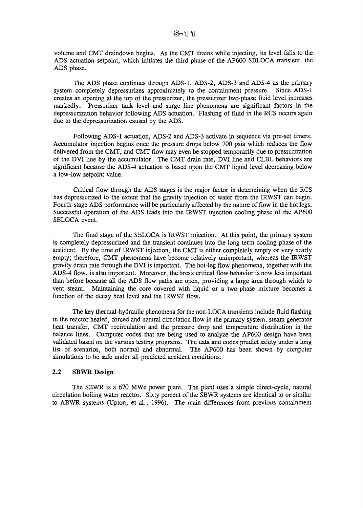volume and CMT draindown begins. As the CMT drains while injecting, its level falls to the ADS actuation setpoint, which initiates the third phase of the AP600 SBLOCA transient, the ADS phase.

The ADS phase continues through ADS-1, ADS-2, ADS-3 and ADS-4 as the primary system completely depressurizes approximately to the containment pressure. Since ADS-1 creates an opening at the top of the pressurizer, the pressurizer two-phase fluid level increases markedly. Pressurizer tank level and surge line phenomena are significant factors in the depressurization behavior following ADS actuation. Flashing of fluid in the RCS occurs again due to the depressurization caused by the ADS.

Following ADS-1 actuation, ADS-2 and ADS-3 activate in sequence via pre-set timers. Accumulator injection begins once the pressure drops below 700 psia which reduces the flow delivered from the CMT, and CMT flow may even be stopped temporarily due to pressurization of the DVT line by the accumulator. The CMT drain rate, DVI line and CLBL behaviors are significant because the ADS-4 actuation is based upon the CMT liquid level decreasing below a low-low setpoint value.

Critical flow through the ADS stages is the major factor in determining when the RCS has depressurized to the extent that the gravity injection of water from the IRWST can begin. Fourth-stage ADS performance will be particularly affected by the nature of flow in the hot legs. Successful operation of the ADS leads into the IRWST injection cooling phase of the AP600 SBLOCA event.

The final stage of the SBLOCA is IRWST injection. At this point, the primary system is completely depressurized and the transient continues into the long-term cooling phase of the accident. By the time of ERWST injection, the CMT is either completely empty or very nearly empty; therefore, CMT phenomena have become relatively unimportant, whereas the IRWST gravity drain rate through the DVI is important. The hot-leg flow phenomena, together with the ADS-4 flow, is also important. Moreover, the break critical flow behavior is now less important than before because all the ADS flow paths are open, providing a large area through which to vent steam. Maintaining the core covered with liquid or a two-phase mixture becomes a function of the decay heat level and the IRWST flow.

The key thermal-hydraulic phenomena for the non-LOCA transients include fluid flashing in the reactor heated, forced and natural circulation flow in the primary system, steam generator heat transfer, CMT recirculation and the pressure drop and temperature distribution in the balance lines. Computer codes that are being used to analyze the AP600 design have been validated based on the various testing programs. The data and codes predict safety under a long list of scenarios, both normal and abnormal. The AP600 has been shown by computer simulations to be safe under all predicted accident conditions.

# 2.2 SBWR Design

The SBWR is a 670 MWe power plant. The plant uses a simple direct-cycle, natural circulation boiling water reactor. Sixty percent of the SBWR systems are identical to or similar to ABWR systems (Upton, et al., 1996). The main differences from previous containment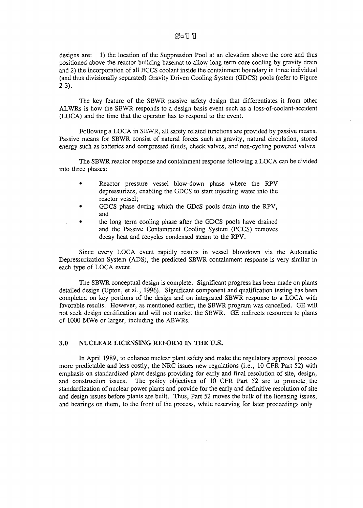designs are: 1) the location of the Suppression Pool at an elevation above the core and thus positioned above the reactor building basemat to allow long term core cooling by gravity drain and 2) the incorporation of all ECCS coolant inside the containment boundary in three individual (and thus divisionally separated) Gravity Driven Cooling System (GDCS) pools (refer to Figure 2-3).

The key feature of the SBWR passive safety design that differentiates it from other ALWRs is how the SBWR responds to a design basis event such as a loss-of-coolant-accident (LOCA) and the time that the operator has to respond to the event.

Following a LOCA in SBWR, all safety related functions are provided by passive means. Passive means for SBWR consist of natural forces such as gravity, natural circulation, stored energy such as batteries and compressed fluids, check valves, and non-cycling powered valves.

The SBWR reactor response and containment response following a LOCA can be divided into three phases:

- Reactor pressure vessel blow-down phase where the RPV depressurizes, enabling the GDCS to start injecting water into the reactor vessel;
- GDCS phase during which the GDcS pools drain into the RPV, and
- the long term cooling phase after the GDCS pools have drained and the Passive Containment Cooling System (PCCS) removes decay heat and recycles condensed steam to the RPV.

Since every LOCA event rapidly results in vessel blowdown via the Automatic Depressurization System (ADS), the predicted SBWR containment response is very similar in each type of LOCA event.

The SBWR conceptual design is complete. Significant progress has been made on plants detailed design (Upton, et al., 1996). Significant component and qualification testing has been completed on key portions of the design and on integrated SBWR response to a LOCA with favorable results. However, as mentioned earlier, the SBWR program was cancelled. GE will not seek design certification and will not market the SBWR. GE redirects resources to plants of 1000 MWe or larger, including the ABWRs.

## 3.0 NUCLEAR LICENSING REFORM IN THE U.S.

In April 1989, to enhance nuclear plant safety and make the regulatory approval process more predictable and less costly, the NRC issues new regulations (i.e., 10 CFR Part 52) with emphasis on standardized plant designs providing for early and final resolution of site, design, and construction issues. The policy objectives of 10 CFR Part 52 are to promote the standardization of nuclear power plants and provide for the early and definitive resolution of site and design issues before plants are built. Thus, Part 52 moves the bulk of the licensing issues, and hearings on them, to the front of the process, while reserving for later proceedings only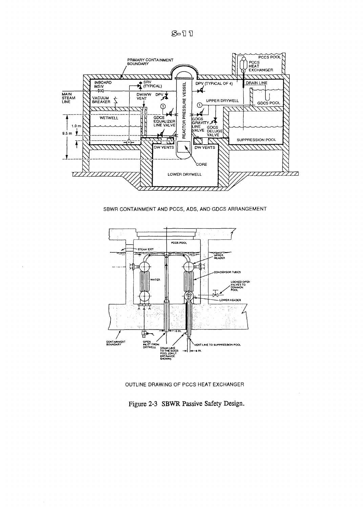



SBWR CONTAINMENT AND PCCS, ADS, AND GDCS ARRANGEMENT



OUTLINE DRAWING OF PCCS HEAT EXCHANGER

Figure 2-3 SBWR Passive Safety Design.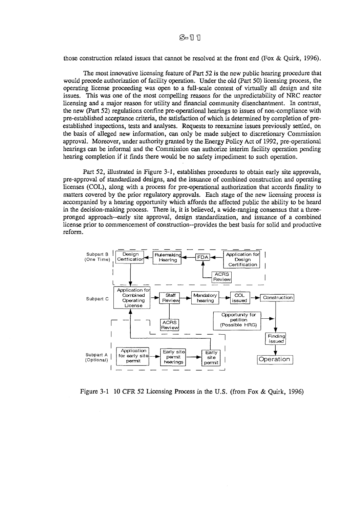those construction related issues that cannot be resolved at the front end (Fox & Quirk, 1996).

The most innovative licensing feature of Part 52 is the new public hearing procedure that would precede authorization of facility operation. Under the old (Part 50) licensing process, the operating license proceeding was open to a full-scale contest of virtually all design and site issues. This was one of the most compelling reasons for the unpredictability of NRC reactor licensing and a major reason for utility and financial community disenchantment. In contrast, the new (Part 52) regulations confine pre-operational hearings to issues of non-compliance with pre-established acceptance criteria, the satisfaction of which is determined by completion of preestablished inspections, tests and analyses. Requests to reexamine issues previously settled, on the basis of alleged new information, can only be made subject to discretionary Commission approval. Moreover, under authority granted by the Energy Policy Act of 1992, pre-operational hearings can be informal and the Commission can authorize interim facility operation pending hearing completion if it finds there would be no safety impediment to such operation.

Part 52, illustrated in Figure 3-1, establishes procedures to obtain early site approvals, pre-approval of standardized designs, and the issuance of combined construction and operating licenses (COL), along with a process for pre-operational authorization that accords finality to matters covered by the prior regulatory approvals. Each stage of the new licensing process is accompanied by a hearing opportunity which affords the affected public the ability to be heard in the decision-making process. There is, it is believed, a wide-ranging consensus that a threepronged approach—early site approval, design standardization, and issuance of a combined license prior to commencement of construction—provides the best basis for solid and productive reform.



Figure 3-1 10 CFR 52 Licensing Process in the U.S. (from Fox & Quirk, 1996)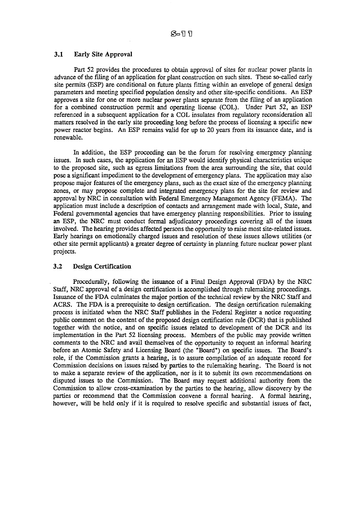## 3.1 Early Site Approval

Part 52 provides the procedures to obtain approval of sites for nuclear power plants in advance of the filing of an application for plant construction on such sites. These so-called early site permits (ESP) are conditional on future plants fitting within an envelope of general design parameters and meeting specified population density and other site-specific conditions. An ESP approves a site for one or more nuclear power plants separate from the filing of an application for a combined construction permit and operating license (COL). Under Part 52, an ESP referenced in a subsequent application for a COL insulates from regulatory reconsideration all matters resolved in the early site proceeding long before the process of licensing a specific new power reactor begins. An ESP remains valid for up to 20 years from its issuance date, and is renewable.

In addition, the ESP proceeding can be the forum for resolving emergency planning issues. In such cases, the application for an ESP would identify physical characteristics unique to the proposed site, such as egress limitations from the area surrounding the site, that could pose a significant impediment to the development of emergency plans. The application may also propose major features of the emergency plans, such as the exact size of the emergency planning zones, or may propose complete and integrated emergency plans for the site for review and approval by NRC in consultation with Federal Emergency Management Agency (FEMA). The application must include a description of contacts and arrangement made with local, State, and Federal governmental agencies that have emergency planning responsibilities. Prior to issuing an ESP, the NRC must conduct formal adjudicatory proceedings covering all of the issues involved. The hearing provides affected persons the opportunity to raise most site-related issues. Early hearings on emotionally charged issues and resolution of these issues allows utilities (or other site permit applicants) a greater degree of certainty in planning future nuclear power plant projects.

## 3.2 Design Certification

Procedurally, following the issuance of a Final Design Approval (FDA) by the NRC Staff, NRC approval of a design certification is accomplished through rulemaking proceedings. Issuance of the FDA culminates the major portion of the technical review by the NRC Staff and ACRS. The FDA is a prerequisite to design certification. The design certification rulemaking process is initiated when the NRC Staff publishes in the Federal Register a notice requesting public comment on the content of the proposed design certification rule (DCR) that is published together with the notice, and on specific issues related to development of the DCR and its implementation in the Part 52 licensing process. Members of the public may provide written comments to the NRC and avail themselves of the opportunity to request an informal hearing before an Atomic Safety and Licensing Board (the "Board") on specific issues. The Board's role, if the Commission grants a hearing, is to assure compilation of an adequate record for Commission decisions on issues raised by parties to the rulemaking hearing. The Board is not to make a separate review of the application, nor is it to submit its own recommendations on disputed issues to the Commission. The Board may request additional authority from the Commission to allow cross-examination by the parties to the hearing, allow discovery by the parties or recommend that the Commission convene a formal hearing. A formal hearing, however, will be held only if it is required to resolve specific and substantial issues of fact,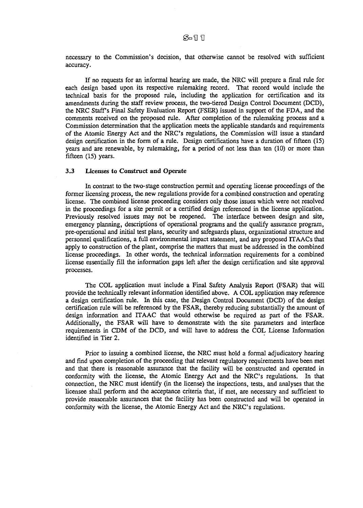necessary to the Commission's decision, that otherwise cannot be resolved with sufficient accuracy.

If no requests for an informal hearing are made, the NRC will prepare a final rule for each design based upon its respective rulemaking record. That record would include the technical basis for the proposed rule, including the application for certification and its amendments during the staff review process, the two-tiered Design Control Document (DCD), the NRC Staffs Final Safety Evaluation Report (FSER) issued in support of the FDA, and the comments received on the proposed rule. After completion of the rulemaking process and a Commission determination that the application meets the applicable standards and requirements of the Atomic Energy Act and the NRC's regulations, the Commission will issue a standard design certification in the form of a rule. Design certifications have a duration of fifteen (15) years and are renewable, by rulemaking, for a period of not less than ten (10) or more than fifteen (15) years.

#### 3.3 Licenses to Construct **and** Operate

In contrast to the two-stage construction permit and operating license proceedings of the former licensing process, the new regulations provide for a combined construction and operating license. The combined license proceeding considers only those issues which were not resolved in the proceedings for a site permit or a certified design referenced in the license application. Previously resolved issues may not be reopened. The interface between design and site, emergency planning, descriptions of operational programs and the qualify assurance program, pre-operational and initial test plans, security and safeguards plans, organizational structure and personnel qualifications, a full environmental impact statement, and any proposed ITAACs that apply to construction of the plant, comprise the matters that must be addressed in the combined license proceedings. In other words, the technical information requirements for a combined license essentially fill the information gaps left after the design certification and site approval processes.

The COL application must include a Final Safety Analysis Report (FSAR) that will provide the technically relevant information identified above. A COL application may reference a design certification rule. In this case, the Design Control Document (DCD) of the design certification rule will be referenced by the FSAR, thereby reducing substantially the amount of design information and ITAAC that would otherwise be required as part of the FSAR. Additionally, the FSAR will have to demonstrate with the site parameters and interface requirements in CDM of the DCD, and will have to address the COL License Information identified in Tier 2.

Prior to issuing a combined license, the NRC must hold a formal adjudicatory hearing and find upon completion of the proceeding that relevant regulatory requirements have been met and that mere is reasonable assurance that the facility will be constructed and operated in conformity with the license, the Atomic Energy Act and the NRC's regulations. In that connection, the NRC must identify (in the license) the inspections, tests, and analyses that the licensee shall perform and the acceptance criteria that, if met, are necessary and sufficient to provide reasonable assurances that the facility has been constructed and will be operated in conformity with the license, the Atomic Energy Act and the NRC's regulations.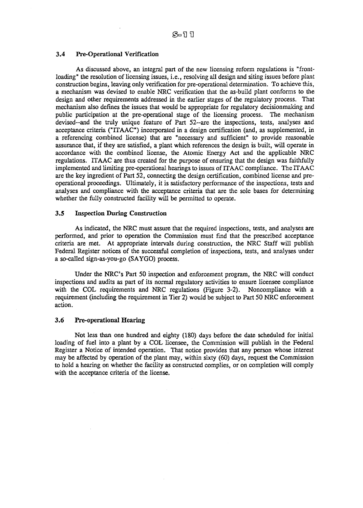## 3.4 Pre-Operational Verification

As discussed above, an integral part of the new licensing reform regulations is "frontloading" the resolution of licensing issues, i.e., resolving all design and siting issues before plant construction begins, leaving only verification for pre-operational determination. To achieve this, a mechanism was devised to enable NRC verification that the as-build plant conforms to the design and other requirements addressed in the earlier stages of the regulatory process. That mechanism also defines the issues that would be appropriate for regulatory decisionmaking and public participation at the pre-operational stage of the licensing process. The mechanism devised—and the truly unique feature of Part 52—are the inspections, tests, analyses and acceptance criteria ("ITAAC") incorporated in a design certification (and, as supplemented, in a referencing combined license) that are "necessary and sufficient" to provide reasonable assurance that, if they are satisfied, a plant which references the design is built, will operate in accordance with the combined license, the Atomic Energy Act and the applicable NRC regulations. ITAAC are thus created for the purpose of ensuring that the design was faithfully implemented and limiting pre-operational hearings to issues of ITAAC compliance. The ITAAC are the key ingredient of Part 52, connecting the design certification, combined license and preoperational proceedings. Ultimately, it is satisfactory performance of the inspections, tests and analyses and compliance with the acceptance criteria that are the sole bases for determining whether the fully constructed facility will be permitted to operate.

# 3.5 Inspection During Construction

As indicated, the NRC must assure that the required inspections, tests, and analyses are performed, and prior to operation the Commission must find that the prescribed acceptance criteria are met. At appropriate intervals during construction, the NRC Staff will publish Federal Register notices of the successful completion of inspections, tests, and analyses under a so-called sign-as-you-go (SAYGO) process.

Under the NRC's Part 50 inspection and enforcement program, the NRC will conduct inspections and audits as part of its normal regulatory activities to ensure licensee compliance with the COL requirements and NRC regulations (Figure 3-2). Noncompliance with a requirement (including the requirement in Tier 2) would be subject to Part 50 NRC enforcement action.

## 3.6 Pre-operational Hearing

Not less than one hundred and eighty (180) days before the date scheduled for initial loading of fuel into a plant by a COL licensee, the Commission will publish in the Federal Register a Notice of intended operation. That notice provides that any person whose interest may be affected by operation of the plant may, within sixty (60) days, request the Commission to hold a hearing on whether the facility as constructed complies, or on completion will comply with the acceptance criteria of the license.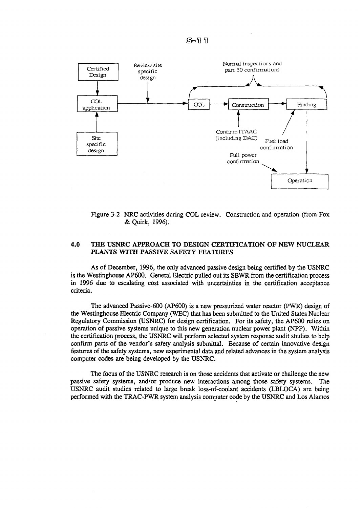

Figure 3-2 NRC activities during COL review. Construction and operation (from Fox & Quirk, 1996).

# 4.0 THE USNRC APPROACH TO DESIGN CERTIFICATION OF NEW NUCLEAR PLANTS WITH PASSIVE SAFETY FEATURES

As of December, 1996, the only advanced passive design being certified by the USNRC is the Westinghouse AP600. General Electric pulled out its SBWR from the certification process in 1996 due to escalating cost associated with uncertainties in the certification acceptance criteria.

The advanced Passive-600 (AP600) is a new pressurized water reactor (PWR) design of the Westinghouse Electric Company (WEC) that has been submitted to the United States Nuclear Regulatory Commission (USNRC) for design certification. For its safety, the AP600 relies on operation of passive systems unique to this new generation nuclear power plant (NPP). Within the certification process, the USNRC will perform selected system response audit studies to help confirm parts of the vendor's safety analysis submittal. Because of certain innovative design features of the safety systems, new experimental data and related advances in the system analysis computer codes are being developed by the USNRC.

The focus of the USNRC research is on those accidents that activate or challenge the new passive safety systems, and/or produce new interactions among those safety systems. The USNRC audit studies related to large break loss-of-coolant accidents (LBLOCA) are being performed with the TRAC-PWR system analysis computer code by the USNRC and Los Alamos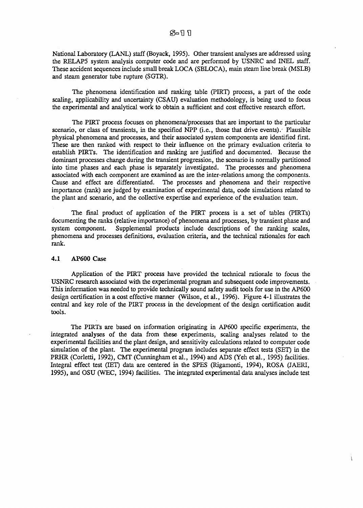National Laboratory (LANL) staff (Boyack, 1995). Other transient analyses are addressed using the RELAP5 system analysis computer code and are performed by USNRC and INEL staff. These accident sequences include small break LOCA (SBLOCA), main steam line break (MSLB) and steam generator tube rupture (SGTR).

The phenomena identification and ranking table (PIRT) process, a part of the code scaling, applicability and uncertainty (CSAU) evaluation methodology, is being used to focus the experimental and analytical work to obtain a sufficient and cost effective research effort.

The PIRT process focuses on phenomena/processes that are important to the particular scenario, or class of transients, in the specified NPP (i.e., those that drive events). Plausible physical phenomena and processes, and their associated system components are identified first. These are then ranked with respect to their influence on the primary evaluation criteria to establish PIRTs. The identification and ranking are justified and documented. Because the dominant processes change during the transient progression, the scenario is normally partitioned into time phases and each phase is separately investigated. The processes and phenomena associated with each component are examined as are the inter-relations among the components. Cause and effect are differentiated. The processes and phenomena and their respective importance (rank) are judged by examination of experimental data, code simulations related to the plant and scenario, and the collective expertise and experience of the evaluation team.

The final product of application of the PIRT process is a set of tables (PIRTs) documenting the ranks (relative importance) of phenomena and processes, by transient phase and system component. Supplemental products include descriptions of the ranking scales, phenomena and processes definitions, evaluation criteria, and the technical rationales for each rank.

## 4.1 AP600 Case

Application of the PIRT process have provided the technical rationale to focus the USNRC research associated with the experimental program and subsequent code improvements. This information was needed to provide technically sound safety audit tools for use in the AP600 design certification in a cost effective manner (Wilson, et al., 1996). Figure 4-1 illustrates the central and key role of the PIRT process in the development of the design certification audit tools.

The PERTs are based on information originating in AP600 specific experiments, the integrated analyses of the data from these experiments, scaling analyses related to the experimental facilities and the plant design, and sensitivity calculations related to computer code simulation of the plant. The experimental program includes separate effect tests (SET) in the PRHR (Corletti, 1992), CMT (Cunningham et al., 1994) and ADS (Yeh et al., 1995) facilities. Integral effect test *(JET)* data are centered in the SPES (Rigamonti, 1994), ROSA (JAERI, 1995), and OSU (WEC, 1994) facilities. The integrated experimental data analyses include test

Ì.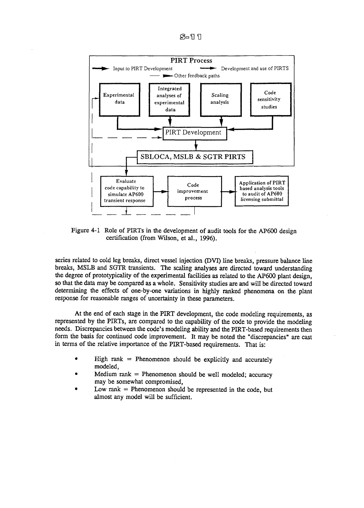$S = 77$ 



Figure 4-1 Role of PIRTs in the development of audit tools for the AP600 design certification (from Wilson, et al., 1996).

series related to cold leg breaks, direct vessel injection (DVI) line breaks, pressure balance line breaks, MSLB and SGTR transients. The scaling analyses are directed toward understanding the degree of prototypicality of the experimental facilities as related to the AP600 plant design, so that the data may be compared as a whole. Sensitivity studies are and will be directed toward detennining the effects of one-by-one variations in highly ranked phenomena on the plant response for reasonable ranges of uncertainty in these parameters.

At the end of each stage in the PIRT development, the code modeling requirements, as represented by the PIRTs, are compared to the capability of the code to provide the modeling needs. Discrepancies between the code's modeling ability and the PIRT-based requirements then form the basis for continued code improvement. It may be noted the "discrepancies" are cast in terms of the relative importance of the PERT-based requirements. That is:

- $High rank = Phenomenon should be explicitly and accurately$ modeled,
- $Median rank = Phenomenon should be well modeled; accuracy$ may be somewhat compromised,
- Low rank  $=$  Phenomenon should be represented in the code, but almost any model will be sufficient.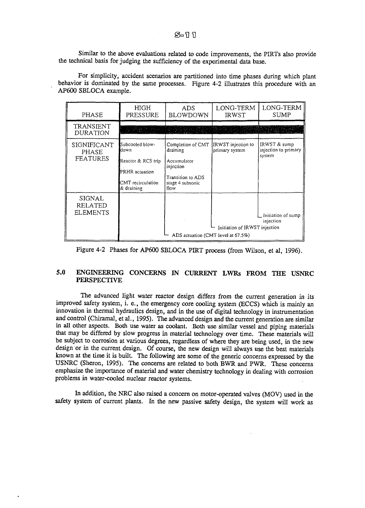Similar to the above evaluations related to code improvements, the PIRTs also provide the technical basis for judging the sufficiency of the experimental data base.

For simplicity, accident scenarios are partitioned into time phases during which plant behavior is dominated by the same processes. Figure 4-2 illustrates this procedure with an AP600 SBLOCA example.

| PHASE                                | HIGH<br>PRESSURE                                                                                   | ADS.<br>BLOWDOWN                                                                                           | LONG-TERM<br><b>IRWST</b>            | LONG-TERM<br>SUMP                              |
|--------------------------------------|----------------------------------------------------------------------------------------------------|------------------------------------------------------------------------------------------------------------|--------------------------------------|------------------------------------------------|
| TRANSIENT<br><b>DURATION</b>         |                                                                                                    |                                                                                                            |                                      |                                                |
| SIGNIFICANT<br>PHASE<br>FEATURES     | Subcooled blow-<br>down<br>Reactor & RCS trip<br>PRHR actuation<br>CMT recirculation<br>& draining | Completion of CMT<br>draining<br>Accumulator<br>injection<br>Transition to ADS<br>stage 4 subsonic<br>flow | IRWST injection to<br>primary system | IRWST & sump<br>injection to primary<br>system |
| SIGNAL<br><b>RELATED</b><br>ELEMENTS |                                                                                                    | ADS actuation (CMT level at 67.5%)                                                                         | Initiation of IRWST injection        | Initiation of sump<br>injection                |

Figure 4-2 Phases for AP600 SBLOCA PIRT process (from Wilson, et al, 1996).

# 5.0 ENGINEERING CONCERNS IN CURRENT LWRs FROM THE USNRC PERSPECTIVE

The advanced light water reactor design differs from the current generation in its improved safety system, i. e,, the emergency core cooling system (ECCS) which is mainly an innovation in thermal hydraulics design, and in the use of digital technology in instrumentation and control (Chiramal, et al., 1995). The advanced design and the current generation are similar in all other aspects. Both use water as coolant. Both use similar vessel and piping materials that may be differed by slow progress in material technology over time. These materials will be subject to corrosion at various degrees, regardless of where they are being used, in the new design or in the current design. Of course, the new design will always use the best materials known at the time it is built. The following are some of the generic concerns expressed by the USNRC (Sheron, 1995). The concerns are related to both BWR and PWR. These concerns emphasize the importance of material and water chemistry technology in dealing with corrosion problems in water-cooled nuclear reactor systems.

In addition, the NRC also raised a concern on motor-operated valves (MOV) used in the safety system of current plants. In the new passive safety design, the system will work as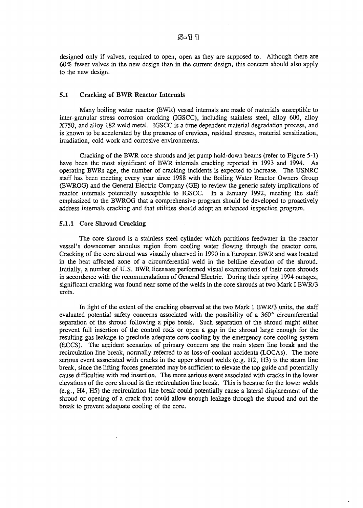designed only if valves, required to open, open as they are supposed to. Although there are 60% fewer valves in the new design than in the current design, this concern should also apply to the new design.

# 5.1 Cracking of BWR Reactor Internals

Many boiling water reactor (BWR) vessel internals are made of materials susceptible to inter-granular stress corrosion cracking (IGSCC), including stainless steel, alloy 600, alloy X750, and alloy 182 weld metal. IGSCC is a time dependent material degradation process, and is known to be accelerated by the presence of crevices, residual stresses, material sensitization, irradiation, cold work and corrosive environments.

Cracking of the BWR core shrouds and jet pump hold-down beams (refer to Figure 5-1) have been the most significant of BWR internals cracking reported in 1993 and 1994. As operating BWRs age, the number of cracking incidents is expected to increase. The USNRC staff has been meeting every year since 1988 with the Boiling Water Reactor Owners Group (BWROG) and the General Electric Company (GE) to review the generic safety implications of reactor internals potentially susceptible to IGSCC. In a January 1992, meeting the staff emphasized to the BWROG that a comprehensive program should be developed to proactively address internals cracking and that utilities should adopt an enhanced inspection program.

#### 5.1.1 Core Shroud Cracking

The core shroud is a stainless steel cylinder which partitions feedwater in the reactor vessel's downcomer annulus region from cooling water flowing through the reactor core. Cracking of the core shroud was visually observed in 1990 in a European BWR and was located in the heat affected zone of a circumferential weld in the beltline elevation of the shroud. Initially, a number of U.S. BWR licensees performed visual examinations of their core shrouds in accordance with the recommendations of General Electric. During their spring 1994 outages, significant cracking was found near some of the welds in the core shrouds at two Mark IBWR/3 units.

In light of the extent of the cracking observed at the two Mark 1 BWR/3 units, the staff evaluated potential safety concerns associated with the possibility of a 360° circumferential separation of the shroud following a pipe break. Such separation of the shroud might either prevent full insertion of the control rods or open a gap in the shroud large enough for the resulting gas leakage to preclude adequate core cooling by the emergency core cooling system (ECCS). The accident scenarios of primary concern are the main steam line break and the recirculation line break, normally referred to as loss-of-coolant-accidents (LOCAs). The more serious event associated with cracks in the upper shroud welds (e.g. H2, H3) is the steam line break, since the lifting forces generated may be sufficient to elevate the top guide and potentially cause difficulties with rod insertion. The more serious event associated with cracks in the lower elevations of the core shroud is the recirculation line break. This is because for the lower welds (e.g., H4, H5) the recirculation line break could potentially cause a lateral displacement of the shroud or opening of a crack that could allow enough leakage through the shroud and out the break to prevent adequate cooling of the core.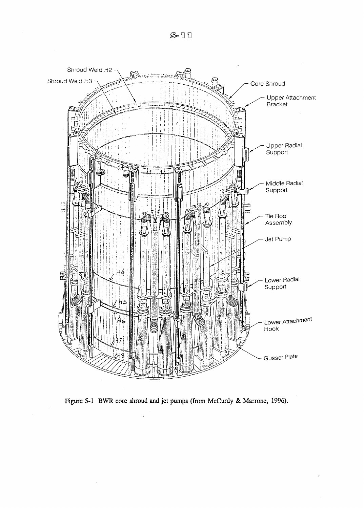

Figure 5-1 BWR core shroud and jet pumps (from McCurdy & Marrone, 1996).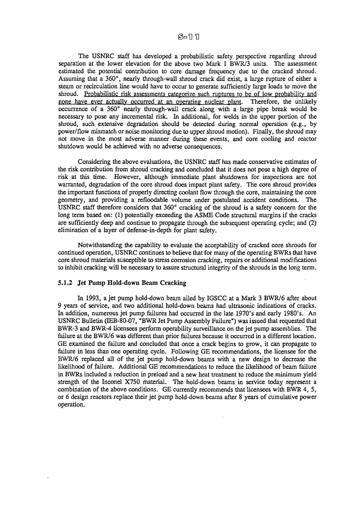#### S-11

The USNRC staff has developed a probabilistic safety perspective regarding shroud separation at the lower elevation for the above two Mark 1 BWR/3 units. The assessment estimated the potential contribution to core damage frequency due to the cracked shroud. Assuming that a 360°, nearly through-wall shroud crack did exist, a large rupture of either a steam or recirculation line would have to occur to generate sufficiently large loads to move the shroud. Probabilistic risk assessments categorize such ruptures to be of low probability and none have ever actually occurred at an operating nuclear plant. Therefore, the unlikely occurrence of a 360° nearly through-wall crack along with a large pipe break would be necessary to pose any incremental risk. In additional, for welds in the upper portion of the shroud, such extensive degradation should be detected during normal operation (e.g., by power/flow mismatch or noise monitoring due to upper shroud motion). Finally, the shroud may not move in the most adverse manner during these events, and core cooling and reactor shutdown would be achieved with no adverse consequences.

Considering the above evaluations, the USNRC staff has made conservative estimates of the risk contribution from shroud cracking and concluded that it does not pose a high degree of risk at this time. However, although immediate plant shutdowns for inspections are not warranted, degradation of the core shroud does impact plant safety. The core shroud provides the important functions of properly directing coolant flow through the core, maintaining the core geometry, and providing a refloodable volume under postulated accident conditions. The USNRC staff therefore considers that 360° cracking of the shroud is a safety concern for the long term based on: (1) potentially exceeding the ASME Code structural margins if the cracks are sufficiently deep and continue to propagate through the subsequent operating cycle; and (2) elimination of a layer of defense-in-depth for plant safety.

Notwithstanding the capability to evaluate the acceptability of cracked core shrouds for continued operation, USNRC continues to believe that for many of the operating BWRs that have core shroud materials susceptible to stress corrosion cracking, repairs or additional modifications to inhibit cracking will be necessary to assure structural integrity of the shrouds in the long term.

## **5.1.2 Jet Pump Hold-down Beam Cracking**

In 1993, a jet pump hold-down beam ailed by IGSCC at a Mark 3 BWR/6 after about 9 years of service, and two additional hold-down beams had ultrasonic indications of cracks. In addition, numerous jet pump failures had occurred in the late 1970's and early 1980's. An USNRC Bulletin (IEB-80-07, "BWR Jet Pump Assembly Failure") was issued that requested that BWR-3 and BWR-4 licensees perform operability surveillance on the jet pump assemblies. The failure at the BWR/6 was different than prior failures because it occurred in a different location. GE examined the failure and concluded that once a crack begins to grow, it can propagate to failure in less than one operating cycle. Following GE recommendations, the licensee for the BWR/6 replaced all of the jet pump hold-down beams with a new design to decrease the likelihood of failure. Additional GE recommendations to reduce the likelihood of beam failure in BWRs included a reduction in preload and a new heat treatment to reduce the minimum yield strength of the Inconel X750 material. The hold-down beams in service today represent a combination of the above conditions. GE currently recommends that licensees with BWR 4, 5, or 6 design reactors replace their jet pump hold-down beams after 8 years of cumulative power operation.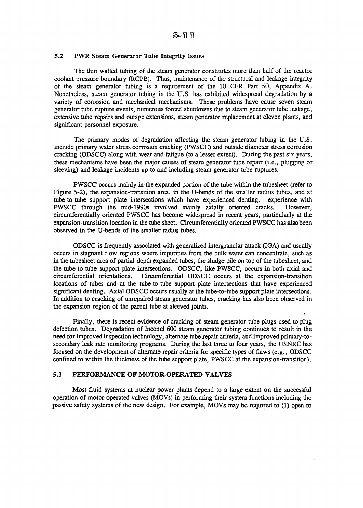#### 5.2 **PWR** Steam Generator Tube Integrity Issues

The thin walled tubing of the steam generator constitutes more than half of the reactor coolant pressure boundary (RCPB). Thus, maintenance of the structural and leakage integrity of the steam generator tubing is a requirement of the 10 CFR Part 50, Appendix A. Nonetheless, steam generator tubing in the U.S. has exhibited widespread degradation by a variety of corrosion and mechanical mechanisms. These problems have cause seven steam generator tube rupture events, numerous forced shutdowns due to steam generator tube leakage, extensive tube repairs and outage extensions, steam generator replacement at eleven plants, and significant personnel exposure.

The primary modes of degradation affecting the steam generator tubing in the U.S. include primary water stress corrosion cracking (PWSCC) and outside diameter stress corrosion cracking (ODSCC) along with wear and fatigue (to a lesser extent). During the past six years, these mechanisms have been the major causes of steam generator tube repair (i.e., plugging or sleeving) and leakage incidents up to and including steam generator tube ruptures.

PWSCC occurs mainly in the expanded portion of the tube within the tubesheet (refer to Figure 5-2), the expansion-transition area, in the U-bends of the smaller radius tubes, and at tube-to-tube support plate intersections which have experienced denting, experience with PWSCC through the mid-1990s involved mainly axially oriented cracks. However, circumferentially oriented PWSCC has become widespread in recent years, particularly at the expansion-transition location in the tube sheet. Circumferentially oriented PWSCC has also been observed in the U-bends of the smaller radius tubes.

ODSCC is frequently associated with generalized intergranular attack (IGA) and usually occurs in stagnant flow regions where impurities from the bulk water can concentrate, such as in the tubesheet area of partial-depth expanded tubes, the sludge pile on top of the tubesheet, and the tube-to-tube support plate intersections. ODSCC, like PWSCC, occurs in both axial and circumferential orientations. Circumferential ODSCC occurs at the expansion-transition locations of tubes and at the tube-to-tube support plate intersections that have experienced significant denting. Axial ODSCC occurs usually at the tube-to-tube support plate intersections. In addition to cracking of unrepaired steam generator tubes, cracking has also been observed in the expansion region of the parent tube at sleeved joints.

Finally, there is recent evidence of cracking of steam generator tube plugs used to plug defection tubes. Degradation of Inconel 600 steam generator tubing continues to result in the need for improved inspection technology, alternate tube repair criteria, and improved primary-tosecondary leak rate monitoring programs. During the last three to four years, the USNRC has focused on the development of alternate repair criteria for specific types of flaws (e.g., ODSCC confined to within the thickness of the tube support plate, PWSCC at the expansion-transition).

# **5.3 PERFORMANCE OF MOTOR-OPERATED VALVES**

Most fluid systems at nuclear power plants depend to a large extent on the successful operation of motor-operated valves (MOVs) in performing their system functions including the passive safety systems of the new design. For example, MOVs may be required to (1) open to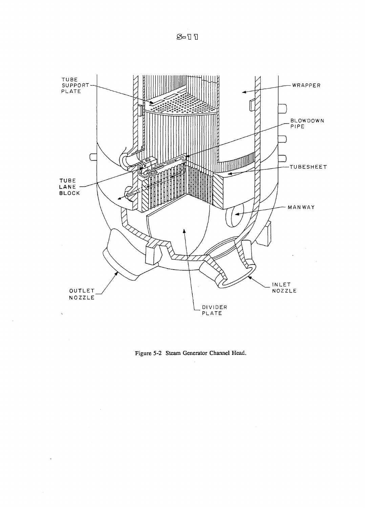$S-11$ 





 $\ddot{\phantom{1}}$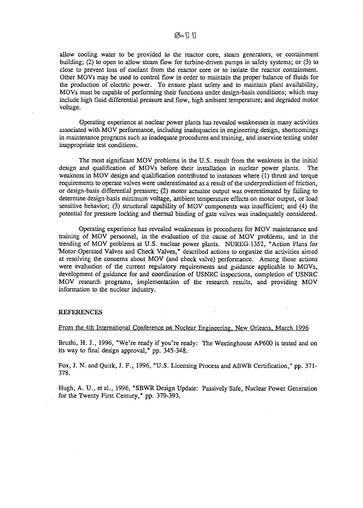allow cooling water to be provided to the reactor core, steam generators, or containment building; (2) to open to allow steam flow for turbine-driven pumps in safety systems; or (3) to close to prevent loss of coolant from the reactor core or to isolate the reactor containment. Other MOVs may be used to control flow in order to maintain the proper balance of fluids for the production of electric power. To ensure plant safety and to maintain plant availability, MOVs must be capable of performing their functions under design-basis conditions; which may include high fluid differential pressure and flow, high ambient temperature; and degraded motor voltage.

Operating experience at nuclear power plants has revealed weaknesses in many activities associated with MOV performance, including inadequacies in engineering design, shortcomings in maintenance programs such as inadequate procedures and training, and inservice testing under inappropriate test conditions.

The most significant MOV problems in the U.S. result from the weakness in the initial design and qualification of MOVs before their installation in nuclear power plants. The weakness in MOV design and qualification contributed to instances where (1) thrust and torque requirements to operate valves were underestimated as a result of the underprediction of friction, or design-basis differential pressure; (2) motor actuator output was overestimated by failing to determine design-basis minimum voltage, ambient temperature effects on motor output, or load sensitive behavior; (3) structural capability of MOV components was insufficient; and (4) the potential for pressure locking and thermal binding of gate valves was inadequately considered.

Operating experience has revealed weaknesses in procedures for MOV maintenance and training of MOV personnel, in the evaluation of the cause of MOV problems, and in the trending of MOV problems at U.S. nuclear power plants. NUREG-1352, "Action Plans for 'Motor-Operated Valves and Check Valves," described actions to organize the activities aimed at resolving the concerns about MOV (and check valve) performance. Among those actions were evaluation of the current regulatory requirements and guidance applicable to MOVs, development of guidance for and coordination of USNRC inspections, completion of USNRC MOV research programs, implementation of the research results, and providing MOV information to the nuclear industry.

#### **REFERENCES**

#### From the 4th International Conference on Nuclear Engineering. New Orleans, March 1996

Brushi, H. J., 1996, "We're ready if you're ready: The Westinghouse AP600 is tested and on its way to final design approval," pp. 345-348.

Fox, J. N. and Quirk, J. F., 1996, "U.S. Licensing Process and ABWR Certification," pp. 371- 378.

Hugh, A. U., et al., 1996, "SBWR Design Update: Passively Safe, Nuclear Power Generation for the Twenty First Century," pp. 379-393.